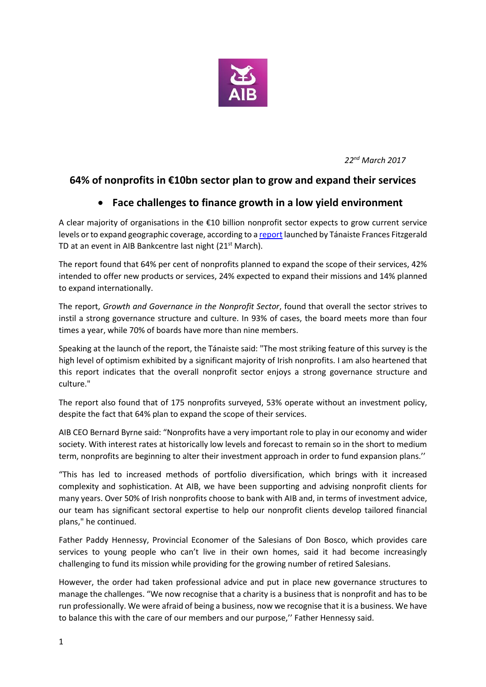

*22nd March 2017*

# **64% of nonprofits in €10bn sector plan to grow and expand their services**

## **Face challenges to finance growth in a low yield environment**

A clear majority of organisations in the €10 billion nonprofit sector expects to grow current service levels or to expand geographic coverage, according to [a report](http://10.4.23.33:5503/content/dam/aib/group/Docs/Press%20Releases/2017/growth-and-governance-in-the-nonprofit-sector-report.pdf) launched by Tánaiste Frances Fitzgerald TD at an event in AIB Bankcentre last night (21<sup>st</sup> March).

The report found that 64% per cent of nonprofits planned to expand the scope of their services, 42% intended to offer new products or services, 24% expected to expand their missions and 14% planned to expand internationally.

The report, *Growth and Governance in the Nonprofit Sector*, found that overall the sector strives to instil a strong governance structure and culture. In 93% of cases, the board meets more than four times a year, while 70% of boards have more than nine members.

Speaking at the launch of the report, the Tánaiste said: "The most striking feature of this survey is the high level of optimism exhibited by a significant majority of Irish nonprofits. I am also heartened that this report indicates that the overall nonprofit sector enjoys a strong governance structure and culture."

The report also found that of 175 nonprofits surveyed, 53% operate without an investment policy, despite the fact that 64% plan to expand the scope of their services.

AIB CEO Bernard Byrne said: "Nonprofits have a very important role to play in our economy and wider society. With interest rates at historically low levels and forecast to remain so in the short to medium term, nonprofits are beginning to alter their investment approach in order to fund expansion plans.''

"This has led to increased methods of portfolio diversification, which brings with it increased complexity and sophistication. At AIB, we have been supporting and advising nonprofit clients for many years. Over 50% of Irish nonprofits choose to bank with AIB and, in terms of investment advice, our team has significant sectoral expertise to help our nonprofit clients develop tailored financial plans," he continued.

Father Paddy Hennessy, Provincial Economer of the Salesians of Don Bosco, which provides care services to young people who can't live in their own homes, said it had become increasingly challenging to fund its mission while providing for the growing number of retired Salesians.

However, the order had taken professional advice and put in place new governance structures to manage the challenges. "We now recognise that a charity is a business that is nonprofit and has to be run professionally. We were afraid of being a business, now we recognise that it is a business. We have to balance this with the care of our members and our purpose,'' Father Hennessy said.